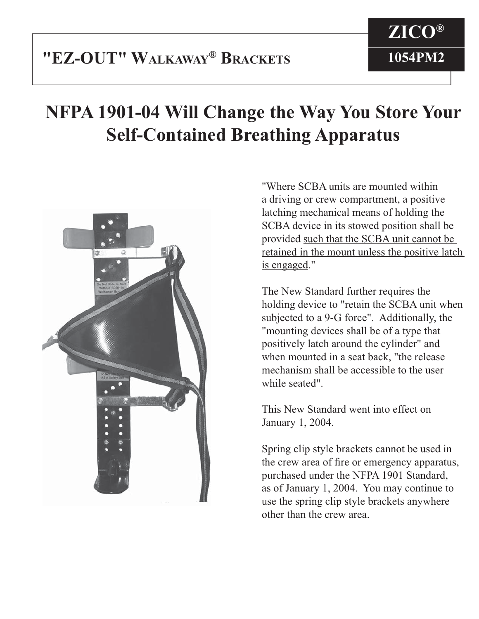# **NFPA 1901-04 Will Change the Way You Store Your Self-Contained Breathing Apparatus**



"Where SCBA units are mounted within a driving or crew compartment, a positive latching mechanical means of holding the SCBA device in its stowed position shall be provided such that the SCBA unit cannot be retained in the mount unless the positive latch is engaged."

The New Standard further requires the holding device to "retain the SCBA unit when subjected to a 9-G force". Additionally, the "mounting devices shall be of a type that positively latch around the cylinder" and when mounted in a seat back, "the release mechanism shall be accessible to the user while seated".

This New Standard went into effect on January 1, 2004.

Spring clip style brackets cannot be used in the crew area of fire or emergency apparatus, purchased under the NFPA 1901 Standard, as of January 1, 2004. You may continue to use the spring clip style brackets anywhere other than the crew area.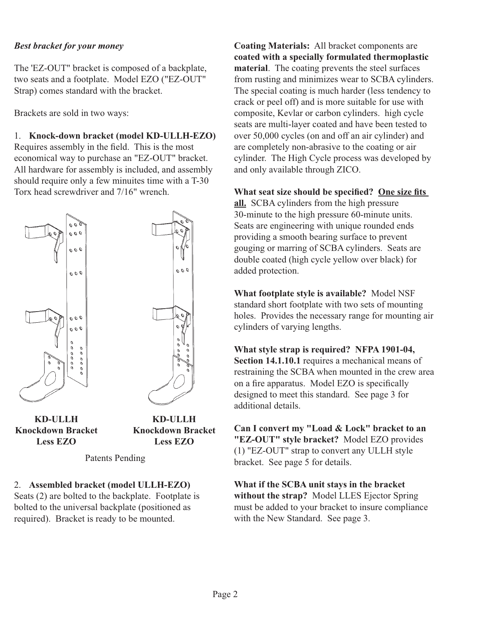## *Best bracket for your money*

The 'EZ-OUT" bracket is composed of a backplate, two seats and a footplate. Model EZO ("EZ-OUT" Strap) comes standard with the bracket.

Brackets are sold in two ways:

1. **Knock-down bracket (model KD-ULLH-EZO)** Requires assembly in the field. This is the most economical way to purchase an "EZ-OUT" bracket. All hardware for assembly is included, and assembly should require only a few minuites time with a T-30 Torx head screwdriver and 7/16" wrench.



**KD-ULLH Knockdown Bracket Less EZO**

**KD-ULLH Knockdown Bracket Less EZO**

Patents Pending

## 2. **Assembled bracket (model ULLH-EZO)**

Seats (2) are bolted to the backplate. Footplate is bolted to the universal backplate (positioned as required). Bracket is ready to be mounted.

**Coating Materials:** All bracket components are **coated with a specially formulated thermoplastic material**. The coating prevents the steel surfaces from rusting and minimizes wear to SCBA cylinders. The special coating is much harder (less tendency to crack or peel off) and is more suitable for use with composite, Kevlar or carbon cylinders. high cycle seats are multi-layer coated and have been tested to over 50,000 cycles (on and off an air cylinder) and are completely non-abrasive to the coating or air cylinder. The High Cycle process was developed by and only available through ZICO.

## **What seat size should be specified?** One size fits

**all.** SCBA cylinders from the high pressure 30-minute to the high pressure 60-minute units. Seats are engineering with unique rounded ends providing a smooth bearing surface to prevent gouging or marring of SCBA cylinders. Seats are double coated (high cycle yellow over black) for added protection.

**What footplate style is available?** Model NSF standard short footplate with two sets of mounting holes. Provides the necessary range for mounting air cylinders of varying lengths.

**What style strap is required? NFPA 1901-04, Section 14.1.10.1** requires a mechanical means of restraining the SCBA when mounted in the crew area on a fire apparatus. Model EZO is specifically designed to meet this standard. See page 3 for additional details.

**Can I convert my "Load & Lock" bracket to an "EZ-OUT" style bracket?** Model EZO provides (1) "EZ-OUT" strap to convert any ULLH style bracket. See page 5 for details.

**What if the SCBA unit stays in the bracket without the strap?** Model LLES Ejector Spring must be added to your bracket to insure compliance with the New Standard. See page 3.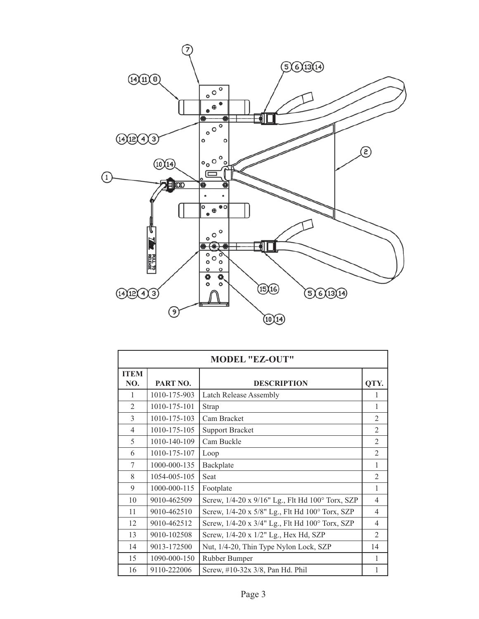

| <b>MODEL "EZ-OUT"</b> |              |                                                  |                          |  |  |  |
|-----------------------|--------------|--------------------------------------------------|--------------------------|--|--|--|
| <b>ITEM</b><br>NO.    | PART NO.     | <b>DESCRIPTION</b>                               | QTY.                     |  |  |  |
| 1                     | 1010-175-903 | Latch Release Assembly                           | 1                        |  |  |  |
| $\overline{2}$        | 1010-175-101 | Strap                                            | 1                        |  |  |  |
| 3                     | 1010-175-103 | Cam Bracket                                      | 2                        |  |  |  |
| $\overline{4}$        | 1010-175-105 | <b>Support Bracket</b>                           | $\mathfrak{D}$           |  |  |  |
| 5                     | 1010-140-109 | Cam Buckle                                       | $\mathfrak{D}$           |  |  |  |
| 6                     | 1010-175-107 | Loop                                             | $\overline{2}$           |  |  |  |
| 7                     | 1000-000-135 | Backplate                                        | 1                        |  |  |  |
| 8                     | 1054-005-105 | Seat                                             | 2                        |  |  |  |
| 9                     | 1000-000-115 | Footplate                                        | 1                        |  |  |  |
| 10                    | 9010-462509  | Screw, 1/4-20 x 9/16" Lg., Flt Hd 100° Torx, SZP | 4                        |  |  |  |
| 11                    | 9010-462510  | Screw, 1/4-20 x 5/8" Lg., Flt Hd 100° Torx, SZP  | $\overline{\mathcal{A}}$ |  |  |  |
| 12                    | 9010-462512  | Screw, 1/4-20 x 3/4" Lg., Flt Hd 100° Torx, SZP  | $\overline{4}$           |  |  |  |
| 13                    | 9010-102508  | Screw, 1/4-20 x 1/2" Lg., Hex Hd, SZP            | $\mathfrak{D}$           |  |  |  |
| 14                    | 9013-172500  | Nut, 1/4-20, Thin Type Nylon Lock, SZP           | 14                       |  |  |  |
| 15                    | 1090-000-150 | Rubber Bumper                                    | 1                        |  |  |  |
| 16                    | 9110-222006  | Screw, #10-32x 3/8, Pan Hd. Phil                 | 1                        |  |  |  |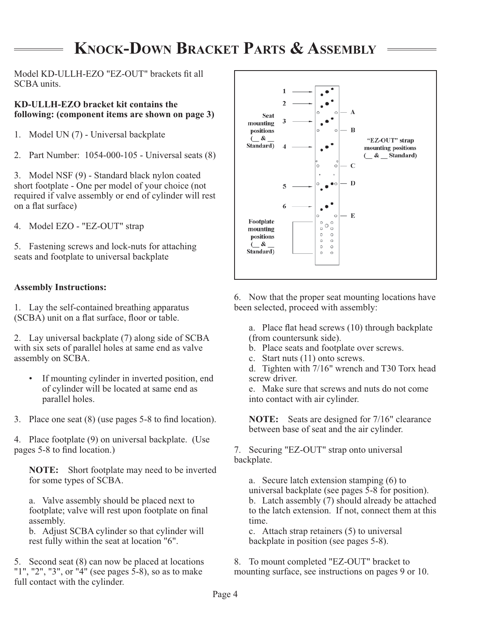# **KNOCK-DOWN BRACKET PARTS & ASSEMBLY**

Model KD-ULLH-EZO "EZ-OUT" brackets fit all SCBA units.

## **KD-ULLH-EZO bracket kit contains the following: (component items are shown on page 3)**

- 1. Model UN (7) Universal backplate
- 2. Part Number: 1054-000-105 Universal seats (8)

3. Model NSF (9) - Standard black nylon coated short footplate - One per model of your choice (not required if valve assembly or end of cylinder will rest on a flat surface)

4. Model EZO - "EZ-OUT" strap

5. Fastening screws and lock-nuts for attaching seats and footplate to universal backplate

## **Assembly Instructions:**

1. Lay the self-contained breathing apparatus (SCBA) unit on a flat surface, floor or table.

2. Lay universal backplate (7) along side of SCBA with six sets of parallel holes at same end as valve assembly on SCBA.

- If mounting cylinder in inverted position, end of cylinder will be located at same end as parallel holes.
- 3. Place one seat  $(8)$  (use pages 5-8 to find location).

4. Place footplate (9) on universal backplate. (Use pages 5-8 to find location.)

**NOTE:** Short footplate may need to be inverted for some types of SCBA.

 a. Valve assembly should be placed next to footplate; valve will rest upon footplate on final assembly.

 b. Adjust SCBA cylinder so that cylinder will rest fully within the seat at location "6".

5. Second seat (8) can now be placed at locations "1", "2", "3", or "4" (see pages 5-8), so as to make full contact with the cylinder.



6. Now that the proper seat mounting locations have been selected, proceed with assembly:

a. Place flat head screws (10) through backplate (from countersunk side).

- b. Place seats and footplate over screws.
- c. Start nuts (11) onto screws.

 d. Tighten with 7/16" wrench and T30 Torx head screw driver.

 e. Make sure that screws and nuts do not come into contact with air cylinder.

**NOTE:** Seats are designed for 7/16" clearance between base of seat and the air cylinder.

7. Securing "EZ-OUT" strap onto universal backplate.

 a. Secure latch extension stamping (6) to universal backplate (see pages 5-8 for position). b. Latch assembly (7) should already be attached to the latch extension. If not, connect them at this time.

 c. Attach strap retainers (5) to universal backplate in position (see pages 5-8).

8. To mount completed "EZ-OUT" bracket to mounting surface, see instructions on pages 9 or 10.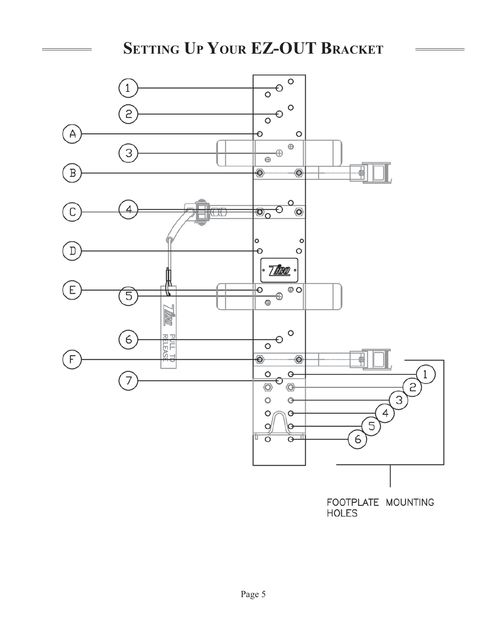# **SETTING UP YOUR EZ-OUT BRACKET**

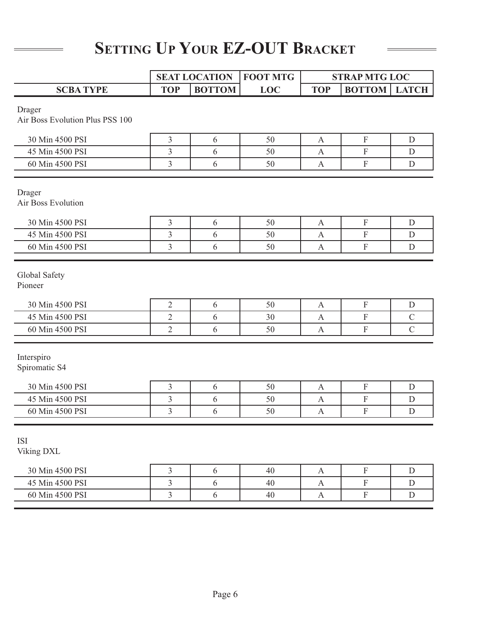# **SETTING UP YOUR EZ-OUT BRACKET**

|                                                                                   | <b>SEAT LOCATION</b>                       |                          | <b>FOOT MTG</b> | <b>STRAP MTG LOC</b>                      |                                           |                                     |
|-----------------------------------------------------------------------------------|--------------------------------------------|--------------------------|-----------------|-------------------------------------------|-------------------------------------------|-------------------------------------|
| <b>SCBATYPE</b>                                                                   | <b>TOP</b>                                 | <b>BOTTOM</b>            | <b>LOC</b>      | <b>TOP</b>                                | <b>BOTTOM</b>   LATCH                     |                                     |
| Drager<br>Air Boss Evolution Plus PSS 100                                         |                                            |                          |                 |                                           |                                           |                                     |
| 30 Min 4500 PSI                                                                   | $\overline{3}$                             | 6                        | 50              | $\mathbf{A}$                              | $\rm F$                                   | D                                   |
| 45 Min 4500 PSI                                                                   | $\overline{3}$                             | 6                        | 50              | $\mathbf{A}$                              | $\mathbf F$                               | D                                   |
| 60 Min 4500 PSI                                                                   | $\overline{3}$                             | 6                        | 50              | $\mathbf{A}$                              | $\mathbf F$                               | ${\rm D}$                           |
| Drager<br>Air Boss Evolution                                                      |                                            |                          |                 |                                           |                                           |                                     |
| 30 Min 4500 PSI                                                                   | $\mathfrak{Z}$                             | 6                        | 50              | $\mathbf{A}$                              | $\boldsymbol{\mathrm{F}}$                 | D                                   |
| 45 Min 4500 PSI                                                                   | $\overline{3}$                             | 6                        | 50              | $\mathbf{A}$                              | $\boldsymbol{\mathrm{F}}$                 | D                                   |
| 60 Min 4500 PSI                                                                   | $\overline{3}$                             | 6                        | 50              | $\mathbf{A}$                              | $\mathbf F$                               | D                                   |
| Global Safety<br>Pioneer<br>30 Min 4500 PSI<br>45 Min 4500 PSI<br>60 Min 4500 PSI | $\sqrt{2}$<br>$\sqrt{2}$<br>$\overline{2}$ | 6<br>6<br>6              | 50<br>30<br>50  | A<br>$\mathbf{A}$<br>$\mathbf{A}$         | $\mathbf F$<br>$\mathbf F$<br>$\mathbf F$ | D<br>$\mathcal{C}$<br>$\mathcal{C}$ |
| Interspiro<br>Spiromatic S4<br>30 Min 4500 PSI                                    | $\overline{3}$                             | 6                        | 50              | $\mathbf{A}$                              | $\mathbf F$                               | D                                   |
| 45 Min 4500 PSI                                                                   | $\mathfrak{Z}$                             | 6                        | 50              | A                                         | $\mathbf F$                               | $\mathbf D$                         |
| 60 Min 4500 PSI                                                                   | $\overline{3}$                             | 6                        | 50              | $\mathbf{A}$                              | $\rm F$                                   | D                                   |
| <b>ISI</b><br>Viking DXL<br>30 Min 4500 PSI<br>45 Min 4500 PSI                    | $\mathfrak{Z}$<br>$\overline{3}$           | $\sqrt{6}$<br>$\sqrt{6}$ | 40<br>40        | $\mathbf{A}$<br>$\boldsymbol{\mathsf{A}}$ | $\mathbf F$<br>$\mathbf F$                | ${\rm D}$<br>${\rm D}$              |
| 60 Min 4500 PSI                                                                   | $\overline{3}$                             | $\sqrt{6}$               | 40              | $\boldsymbol{\mathsf{A}}$                 | $\mathbf F$                               | ${\rm D}$                           |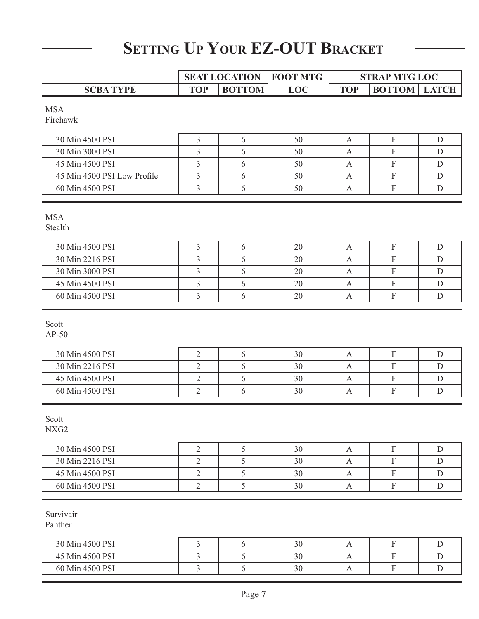# **SETTING UP YOUR EZ-OUT BRACKET**

|                             | <b>SEAT LOCATION</b> |               | <b>FOOT MTG</b> | <b>STRAP MTG LOC</b> |                           |             |
|-----------------------------|----------------------|---------------|-----------------|----------------------|---------------------------|-------------|
| <b>SCBA TYPE</b>            | <b>TOP</b>           | <b>BOTTOM</b> | <b>LOC</b>      | <b>TOP</b>           | <b>BOTTOM</b>   LATCH     |             |
| <b>MSA</b>                  |                      |               |                 |                      |                           |             |
| Firehawk                    |                      |               |                 |                      |                           |             |
|                             |                      |               |                 |                      |                           |             |
| 30 Min 4500 PSI             | 3                    | 6             | 50              | A                    | $\mathbf F$               | $\mathbf D$ |
| 30 Min 3000 PSI             | 3                    | 6             | 50              | $\mathbf{A}$         | $\mathbf{F}$              | D           |
| 45 Min 4500 PSI             | 3                    | 6             | 50              | A                    | $\boldsymbol{\mathrm{F}}$ | D           |
| 45 Min 4500 PSI Low Profile | $\overline{3}$       | 6             | 50              | A                    | $\rm F$                   | $\mathbf D$ |
| 60 Min 4500 PSI             | 3                    | 6             | 50              | A                    | $\boldsymbol{\mathrm{F}}$ | D           |
| <b>MSA</b>                  |                      |               |                 |                      |                           |             |
| Stealth                     |                      |               |                 |                      |                           |             |
| 30 Min 4500 PSI             | 3                    | 6             | 20              | A                    | $\mathbf{F}$              | D           |
| 30 Min 2216 PSI             | 3                    | 6             | 20              | A                    | $\boldsymbol{\mathrm{F}}$ | D           |
| 30 Min 3000 PSI             | 3                    | 6             | 20              | A                    | $\mathbf F$               | D           |
| 45 Min 4500 PSI             | 3                    | 6             | 20              | A                    | $\mathbf F$               | D           |
| 60 Min 4500 PSI             | 3                    | 6             | 20              | A                    | $\boldsymbol{\mathrm{F}}$ | D           |
| Scott<br>$AP-50$            |                      |               |                 |                      |                           |             |
| 30 Min 4500 PSI             | $\overline{2}$       | 6             | 30              | $\mathbf{A}$         | $\mathbf{F}$              | D           |
| 30 Min 2216 PSI             | $\overline{2}$       | 6             | 30              | A                    | $\mathbf F$               | D           |
| 45 Min 4500 PSI             | $\overline{2}$       | 6             | 30              | A                    | $\mathbf F$               | D           |
| 60 Min 4500 PSI             | $\overline{2}$       | 6             | 30              | A                    | $\boldsymbol{\mathrm{F}}$ | D           |
| Scott<br>NXG <sub>2</sub>   |                      |               |                 |                      |                           |             |
| 30 Min 4500 PSI             | $\sqrt{2}$           | 5             | 30              | $\mathbf{A}$         | $\mathbf F$               | $\mathbf D$ |
| 30 Min 2216 PSI             | $\overline{2}$       | 5             | 30              | A                    | $\mathbf F$               | D           |
| 45 Min 4500 PSI             | $\overline{2}$       | 5             | 30              | $\mathbf{A}$         | $\mathbf F$               | $\mathbf D$ |
| 60 Min 4500 PSI             | $\overline{2}$       | 5             | 30              | A                    | ${\bf F}$                 | D           |
| Survivair<br>Panther        |                      |               |                 |                      |                           |             |
| 30 Min 4500 PSI             | $\mathfrak{Z}$       | 6             | 30              | A                    | $\mathbf F$               | $\mathbf D$ |
| 45 Min 4500 PSI             | $\overline{3}$       | $\sqrt{6}$    | 30              | $\mathbf{A}$         | ${\bf F}$                 | $\mathbf D$ |

60 Min 4500 PSI 3 3 6 30 A F D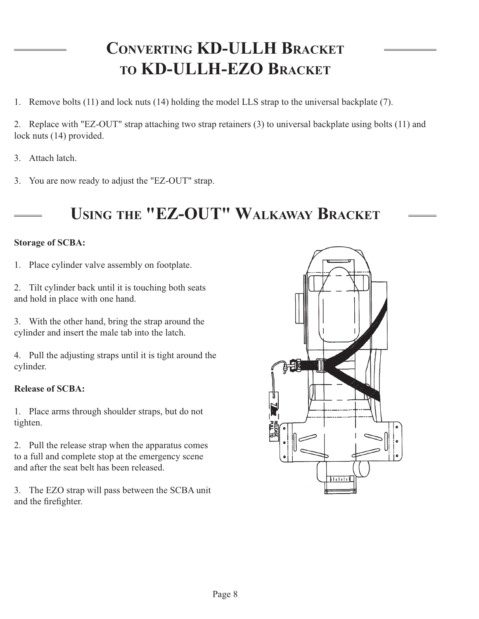# **CONVERTING KD-ULLH BRACKET TO KD-ULLH-EZO BRACKET**

1. Remove bolts (11) and lock nuts (14) holding the model LLS strap to the universal backplate (7).

2. Replace with "EZ-OUT" strap attaching two strap retainers (3) to universal backplate using bolts (11) and lock nuts (14) provided.

- 3. Attach latch.
- 3. You are now ready to adjust the "EZ-OUT" strap.

# **USING THE "EZ-OUT" WALKAWAY BRACKET**

## **Storage of SCBA:**

1. Place cylinder valve assembly on footplate.

2. Tilt cylinder back until it is touching both seats and hold in place with one hand.

3. With the other hand, bring the strap around the cylinder and insert the male tab into the latch.

4. Pull the adjusting straps until it is tight around the cylinder.

## **Release of SCBA:**

1. Place arms through shoulder straps, but do not tighten.

2. Pull the release strap when the apparatus comes to a full and complete stop at the emergency scene and after the seat belt has been released.

3. The EZO strap will pass between the SCBA unit and the firefighter.

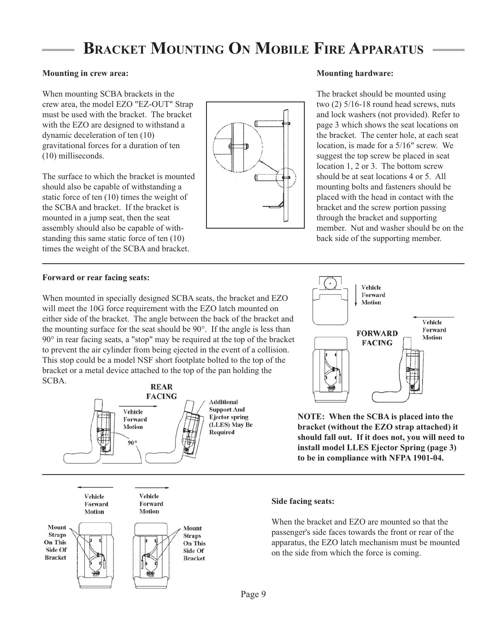# **BRACKET MOUNTING ON MOBILE FIRE APPARATUS**

### **Mounting in crew area:**

When mounting SCBA brackets in the crew area, the model EZO "EZ-OUT" Strap must be used with the bracket. The bracket with the EZO are designed to withstand a dynamic deceleration of ten (10) gravitational forces for a duration of ten (10) milliseconds.

The surface to which the bracket is mounted should also be capable of withstanding a static force of ten (10) times the weight of the SCBA and bracket. If the bracket is mounted in a jump seat, then the seat assembly should also be capable of withstanding this same static force of ten (10) times the weight of the SCBA and bracket.



### **Mounting hardware:**

The bracket should be mounted using two (2) 5/16-18 round head screws, nuts and lock washers (not provided). Refer to page 3 which shows the seat locations on the bracket. The center hole, at each seat location, is made for a 5/16" screw. We suggest the top screw be placed in seat location 1, 2 or 3. The bottom screw should be at seat locations 4 or 5. All mounting bolts and fasteners should be placed with the head in contact with the bracket and the screw portion passing through the bracket and supporting member. Nut and washer should be on the back side of the supporting member.

### **Forward or rear facing seats:**

When mounted in specially designed SCBA seats, the bracket and EZO will meet the 10G force requirement with the EZO latch mounted on either side of the bracket. The angle between the back of the bracket and the mounting surface for the seat should be 90°. If the angle is less than 90° in rear facing seats, a "stop" may be required at the top of the bracket to prevent the air cylinder from being ejected in the event of a collision. This stop could be a model NSF short footplate bolted to the top of the bracket or a metal device attached to the top of the pan holding the SCBA.





**NOTE: When the SCBA is placed into the bracket (without the EZO strap attached) it should fall out. If it does not, you will need to install model LLES Ejector Spring (page 3) to be in compliance with NFPA 1901-04.**



### **Side facing seats:**

When the bracket and EZO are mounted so that the passenger's side faces towards the front or rear of the apparatus, the EZO latch mechanism must be mounted on the side from which the force is coming.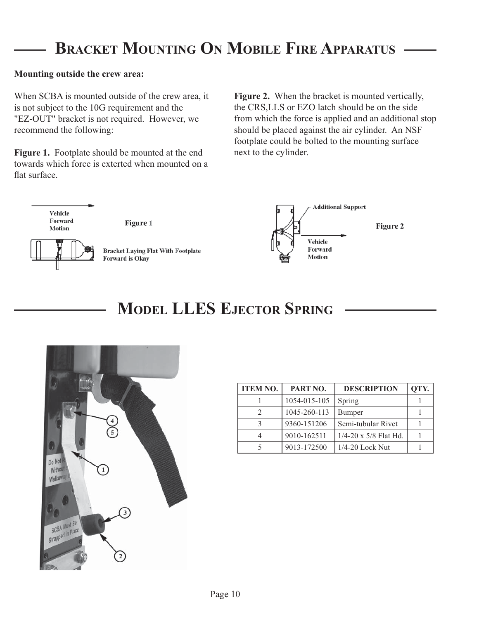# **BRACKET MOUNTING ON MOBILE FIRE APPARATUS**

### **Mounting outside the crew area:**

When SCBA is mounted outside of the crew area, it is not subject to the 10G requirement and the "EZ-OUT" bracket is not required. However, we recommend the following:

**Figure 1.** Footplate should be mounted at the end towards which force is exterted when mounted on a flat surface.

**Figure 2.** When the bracket is mounted vertically, the CRS,LLS or EZO latch should be on the side from which the force is applied and an additional stop should be placed against the air cylinder. An NSF footplate could be bolted to the mounting surface next to the cylinder.



Figure 1



**Bracket Laying Flat With Footplate** Forward is Okay



Figure 2

# **MODEL LLES EJECTOR SPRING**



| <b>ITEM NO.</b> | PART NO.     | <b>DESCRIPTION</b>             | OTY. |
|-----------------|--------------|--------------------------------|------|
|                 | 1054-015-105 | Spring                         |      |
|                 | 1045-260-113 | Bumper                         |      |
|                 | 9360-151206  | Semi-tubular Rivet             |      |
|                 | 9010-162511  | $1/4 - 20 \times 5/8$ Flat Hd. |      |
|                 | 9013-172500  | 1/4-20 Lock Nut                |      |